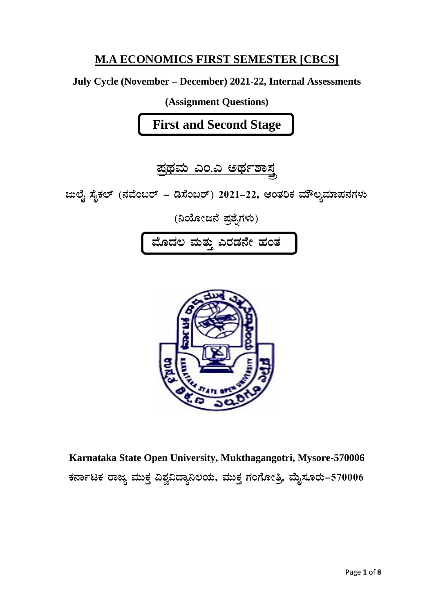# **M.A ECONOMICS FIRST SEMESTER [CBCS]**

# July Cycle (November - December) 2021-22, Internal Assessments

(Assignment Questions)

**First and Second Stage** 

<u>ಪ್ರಥಮ ಎಂ.ಎ ಅರ್ಥಶಾಸ್ತ್ರ</u>

ಜುಲೈ ಸೈಕಲ್ (ನವೆಂಬರ್ – ಡಿಸೆಂಬರ್) 2021–22, ಆಂತರಿಕ ಮೌಲ್ಯಮಾಪನಗಳು

(ನಿಯೋಜನೆ ಪ್ರಶ್ನೆಗಳು)



Karnataka State Open University, Mukthagangotri, Mysore-570006 ಕರ್ನಾಟಕ ರಾಜ್ಯ ಮುಕ್ತ ವಿಶ್ವವಿದ್ಯಾನಿಲಯ, ಮುಕ್ತ ಗಂಗೋತ್ರಿ, ಮೈಸೂರು–570006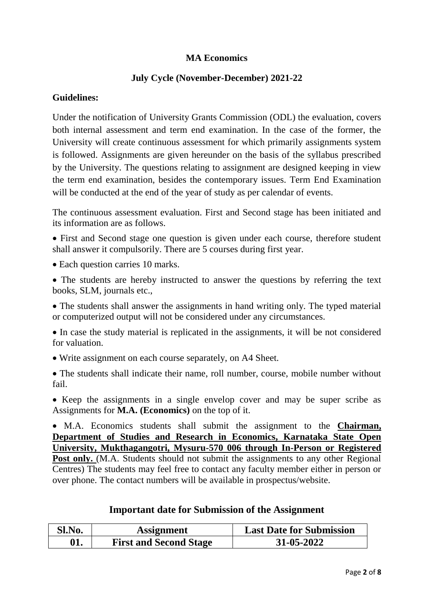# **MA Economics**

## **July Cycle (November-December) 2021-22**

### **Guidelines:**

Under the notification of University Grants Commission (ODL) the evaluation, covers both internal assessment and term end examination. In the case of the former, the University will create continuous assessment for which primarily assignments system is followed. Assignments are given hereunder on the basis of the syllabus prescribed by the University. The questions relating to assignment are designed keeping in view the term end examination, besides the contemporary issues. Term End Examination will be conducted at the end of the year of study as per calendar of events.

The continuous assessment evaluation. First and Second stage has been initiated and its information are as follows.

 First and Second stage one question is given under each course, therefore student shall answer it compulsorily. There are 5 courses during first year.

• Each question carries 10 marks.

 The students are hereby instructed to answer the questions by referring the text books, SLM, journals etc.,

• The students shall answer the assignments in hand writing only. The typed material or computerized output will not be considered under any circumstances.

 In case the study material is replicated in the assignments, it will be not considered for valuation.

Write assignment on each course separately, on A4 Sheet.

 The students shall indicate their name, roll number, course, mobile number without fail.

• Keep the assignments in a single envelop cover and may be super scribe as Assignments for **M.A. (Economics)** on the top of it.

 M.A. Economics students shall submit the assignment to the **Chairman, Department of Studies and Research in Economics, Karnataka State Open University, Mukthagangotri, Mysuru-570 006 through In-Person or Registered Post only.** (M.A. Students should not submit the assignments to any other Regional Centres) The students may feel free to contact any faculty member either in person or over phone. The contact numbers will be available in prospectus/website.

# **Important date for Submission of the Assignment**

| Sl.No. | <b>Assignment</b>             | <b>Last Date for Submission</b> |
|--------|-------------------------------|---------------------------------|
| 01.    | <b>First and Second Stage</b> | 31-05-2022                      |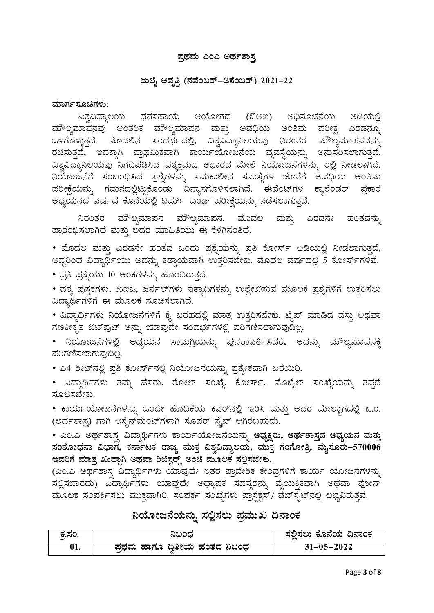### <u>ಪ್ರಥಮ ಎಂಎ ಅರ್ಥಶಾಸ್ತ</u>

### **dįÉÊ DªÀÈwÛ (£ÀªÉA§gï-r¸ÉA§gï) 2021-22**

#### ಮಾರ್ಗಸೂಚಿಗಳು:

ವಿಶ್ವವಿದ್ಯಾಲಯ ಧನಸಹಾಯ ಆಯೋಗದ (ಔಆಐ) ಅಧಿಸೂಚನೆಯ ಅಡಿಯಲ್ಲಿ  $\vec{a}$ ಮೌಲ್ಯಮಾಪನವು ಅಂತರಿಕ ಮೌಲ್ಯಮಾಪನ ಮತ್ತು ಅವಧಿಯ ಅಂತಿಮ ಪರೀಕ್ಷೆ ಎರಡನ್ನೂ ಒಳಗೊಳ್ಳುತ್ತದೆ. ಮೊದಲಿನ ಸಂದರ್ಭದಲ್ಲಿ, ವಿಶ್ವವಿದ್ಯಾನಿಲಯವು ನಿರಂತರ ಮೌಲ್ಯಮಾಪನವನ್ನು ರಚಿಸುತ್ತದೆ, ಇದಕ್ಕಾಗಿ ಪ್ರಾಥಮಿಕವಾಗಿ ಕಾರ್ಯಯೋಜನೆಯ ವ್ಯವಸ್ಥೆಯನ್ನು ಅನುಸರಿಸಲಾಗುತ್ತದೆ. ವಿಶ್ವವಿದ್ಯಾನಿಲಯವು ನಗದಿಪಡಿಸಿದ ಪಠ್ಯಕ್ರಮದ ಆಧಾರದ ಮೇಲೆ ನಿಯೋಜನೆಗಳನ್ನು ಇಲ್ಲಿ ನೀಡಲಾಗಿದೆ. ವಿಯೋಜನೆಗೆ ಸಂಬಂಧಿಸಿದ ಪ್ರಶ್ನೆಗಳನ್ನು ಸಮಕಾಲೀನ ಸಮಸ್ಯೆಗಳ ಜೊತೆಗೆ ಅವಧಿಯ ಅಂತಿಮ ಪರೀಕ್ಷೆಯನ್ನು ಗಮನದಲ್ಲಿಟ್ಟುಕೊಂಡು ವಿನ್ಯಾಸಗೊಳಿಸಲಾಗಿದೆ. ಈವೆಂಟ್*ಗಳ ಕ್ಯಾ*ಲೆಂಡರ್ ಪ್ರಕಾರ ಅಧ್ಯಯನದ ವರ್ಷದ ಕೊನೆಯಲ್ಲಿ ಟರ್ಮ್ ಎಂಡ್ ಪರೀಕ್ಷೆಯನ್ನು ನಡೆಸಲಾಗುತ್ತದೆ.

ನಿರಂತರ ಮೌಲ್ಯಮಾಪನ ಮೌಲ್ಯಮಾಪನ. ಮೊದಲ ಮತ್ತು ಎರಡನೇ ಹಂತವನ್ನು ಪ್ರಾರಂಭಿಸಲಾಗಿದೆ ಮತ್ತು ಅದರ ಮಾಹಿತಿಯು ಈ ಕೆಳಗಿನಂತಿದೆ.

• ಮೊದಲ ಮತ್ತು ಎರಡನೇ ಹಂತದ ಒಂದು ಪ್ರಶ್ನೆಯನ್ನು ಪ್ರತಿ ಕೋರ್ಸ್ ಅಡಿಯಲ್ಲಿ ನೀಡಲಾಗುತ್ತದೆ, ಆದ್ದರಿಂದ ವಿದ್ಯಾರ್ಥಿಯು ಅದನ್ನು ಕಡ್ಡಾಯವಾಗಿ ಉತ್ತರಿಸಬೇಕು. ಮೊದಲ ವರ್ಷದಲ್ಲಿ 5 ಕೋರ್ಸ್ಗಳಿವೆ.

• ಪ್ರತಿ ಪ್ರಶ್ನೆಯು 10 ಅಂಕಗಳನ್ನು ಹೊಂದಿರುತ್ತದೆ.

• ಪಠ್ಯ ಪುಸ್ತಕಗಳು, ಖಐಒ, ಜರ್ನಲ್ಗಳು ಇತ್ಯಾದಿಗಳನ್ನು ಉಲ್ಲೇಖಿಸುವ ಮೂಲಕ ಪ್ರಶ್ನೆಗಳಿಗೆ ಉತ್ತರಿಸಲು ವಿದ್ಯಾರ್ಥಿಗಳಿಗೆ ಈ ಮೂಲಕ ಸೂಚಿಸಲಾಗಿದೆ.

• ವಿದ್ಯಾರ್ಥಿಗಳು ನಿಯೋಜನೆಗಳಿಗೆ ಕೈ ಬರಹದಲ್ಲಿ ಮಾತ್ರ ಉತ್ತರಿಸಬೇಕು. ಟೈಪ್ ಮಾಡಿದ ವಸ್ತು ಅಥವಾ ಗಣಕೀಕೃತ ಔಟ್ಪುಟ್ ಅನ್ನು ಯಾವುದೇ ಸಂದರ್ಭಗಳಲ್ಲಿ ಪರಿಗಣಿಸಲಾಗುವುದಿಲ್ಲ.

• ನಿಯೋಜನೆಗಳಲ್ಲಿ ಅಧ್ಯಯನ ಸಾಮಗ್ರಿಯನ್ನು ಪುನರಾವರ್ತಿಸಿದರೆ, ಅದನ್ನು ಮೌಲ್ಯಮಾಪನಕ್ಕೆ ಪರಿಗಣಿಸಲಾಗುವುದಿಲ್ಲ.

• ಎ4 ಶೀಟ್ನಲ್ಲಿ ಪ್ರತಿ ಕೋರ್ಸ್ನಲ್ಲಿ ನಿಯೋಜನೆಯನ್ನು ಪ್ರತ್ಯೇಕವಾಗಿ ಬರೆಯಿರಿ.

• ವಿದ್ಯಾರ್ಥಿಗಳು ತಮ್ಮ ಹೆಸರು, ರೋಲ್ ಸಂಖ್ಯೆ, ಕೋರ್ಸ್, ಮೊಬೈಲ್ ಸಂಖ್ಯೆಯನ್ನು ತಪ್ಪದೆ ಸೂಚಿಸಬೇಕು.

• ಕಾರ್ಯಯೋಜನೆಗಳನ್ನು ಒಂದೇ ಹೊದಿಕೆಯ ಕವರ್ನಲ್ಲಿ ಇರಿಸಿ ಮತ್ತು ಅದರ ಮೇಲ್ಬಾಗದಲ್ಲಿ ಒ.ಂ. (ಅರ್ಥಶಾಸ್ತ್ರ) ಗಾಗಿ ಅಸೈನ್ ಮೆಂಟ್ ಗಳಾಗಿ ಸೂಪರ್ ಸ್ಪ್ರೆಬ್ ಆಗಿರಬಹುದು.

• ಎಂ.ಎ ಅರ್ಥಶಾಸ್ತ್ರ ವಿದ್ಯಾರ್ಥಿಗಳು ಕಾರ್ಯಯೋಜನೆಯನ್ನು <mark>ಅಧ್ಯಕ್ಷರು, ಅರ್ಥಶಾಸ್ತ್ರದ ಅಧ್ಯಯನ ಮತ್ತು</mark> <u>ಸಂಶೋಧನಾ ವಿಭಾಗ, ಕರ್ನಾಟಕ ರಾಜ್ಯ ಮುಕ್ತ ವಿಶ್ವವಿದ್ಯಾಲಯ, ಮುಕ್ತ ಗಂಗೋತ್ತಿ, ಮೈಸೂರು–570006</u> <u>ಇವರಿಗೆ ಮಾತ್ರ ಖುದ್ದಾಗಿ ಅಥವಾ ರಿಜಿಸ್ಟರ್</u>ಡ್ ಅಂಚೆ ಮೂಲಕ ಸಲ್ಲಿಸಬೇಕು.

(ಎಂ.ಎ ಅರ್ಥಶಾಸ್ತ್ರ ವಿದ್ಯಾರ್ಥಿಗಳು ಯಾವುದೇ ಇತರ ಪ್ರಾದೇಶಿಕ ಕೇಂದ್ರಗಳಿಗೆ ಕಾರ್ಯ ಯೋಜನೆಗಳನ್ನು ಸಲ್ಲಿಸಬಾರದು) ವಿದ್ಯಾರ್ಥಿಗಳು ಯಾವುದೇ ಅಧ್ಯಾಪಕ ಸದಸ್ಯರನ್ನು ವೈಯಕ್ತಿಕವಾಗಿ ಅಥವಾ ಫೋನ್ ಮೂಲಕ ಸಂಪರ್ಕಿಸಲು ಮುಕ್ತವಾಗಿರಿ. ಸಂಪರ್ಕ ಸಂಖ್ಯೆಗಳು ಪ್ರಾಸ್ಟೆಕ್ಷಸ್/ ವೆಬ್ಸೈಟ್ನಲ್ಲಿ ಲಭ್ಯವಿರುತ್ತವೆ.

# <u>ನಿ</u>ಯೋಜನೆಯನ್ನು ಸಲ್ಲಿಸಲು ಪ್ರಮುಖ ದಿನಾಂಕ

| ಕ್ತಸಂ. | ನಿಬಂಧ                       | ಸಲಿಸಲು ಕೊನೆಯ ದಿನಾಂಕ |
|--------|-----------------------------|---------------------|
| 01.    | ಪಥಮ ಹಾಗೂ ದ್ರಿತೀಯ ಹಂತದ ನಿಬಂಧ | $31 - 05 - 2022$    |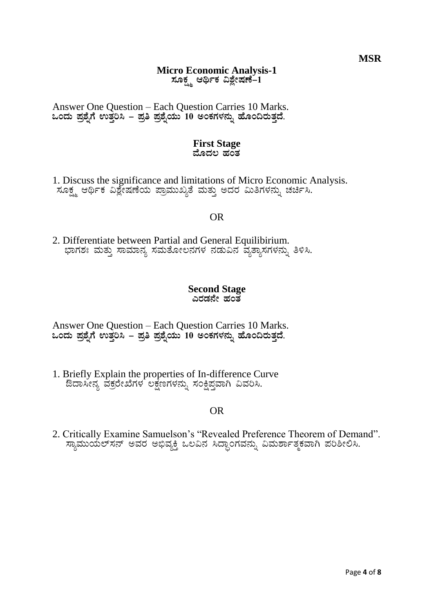# **Micro Economic Analysis-1** ಸೂಕ್ಷ್ಮ ಆರ್ಥಿಕ ವಿಶ್ಲೇಷಣೆ–1

Answer One Question - Each Question Carries 10 Marks. ಒಂದು ಪ್ರಶೈಗೆ ಉತ್ತರಿಸಿ – ಪ್ರತಿ ಪ್ರಶೈಯು 10 ಅಂಕಗಳನ್ನು ಹೊಂದಿರುತ್ತದೆ.

#### **First Stage** ಮೊದಲ ಹಂತ

1. Discuss the significance and limitations of Micro Economic Analysis. 

# **OR**

2. Differentiate between Partial and General Equilibirium. ಭಾಗಶಃ ಮತ್ತು ಸಾಮಾನ್ಯ ಸಮತೋಲನಗಳ ನಡುವಿನ ವ್ಯತ್ಯಾಸಗಳನ್ನು ತಿಳಿಸಿ.

#### **Second Stage** \_\_\_\_\_<br>ಎರಡನೇ ಹಂತ

Answer One Question – Each Question Carries 10 Marks.<br>ಒಂದು ಪ್ರಶ್ನೆಗೆ ಉತ್ತರಿಸಿ – ಪ್ರತಿ ಪ್ರಶ್ನೆಯು 10 ಅಂಕಗಳನ್ನು ಹೊಂದಿರುತ್ತದೆ.

1. Briefly Explain the properties of In-difference Curve ಔದಾಸೀನ್ಯ ವಕ್ರರೇಖೆಗಳ ಲಕ್ಷಣಗಳನ್ನು ಸಂಕ್ಷಿಪ್ತವಾಗಿ ವಿವರಿಸಿ.

# **OR**

2. Critically Examine Samuelson's "Revealed Preference Theorem of Demand". ಸ್ಯಾಮುಯಲ್ಸನ್ ಅವರ ಅಭಿವ್ಯಕ್ತಿ ಒಲವಿನ ಸಿದ್ಧಾಂಗವನ್ನು ವಿಮರ್ಶಾತ್ಮಕವಾಗಿ ಪರಿಶೀಲಿಸಿ.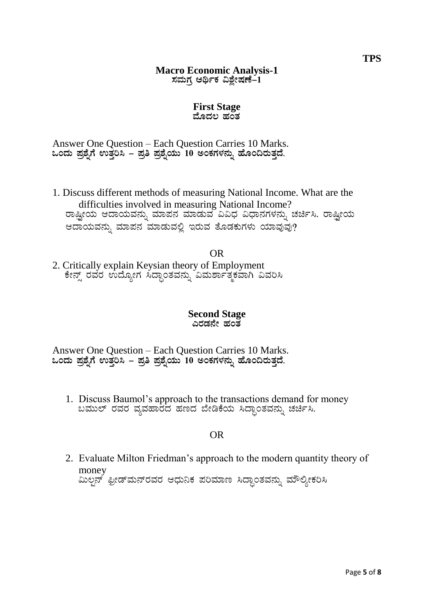## **Macro Economic Analysis-1**  $\pi$ ಮಗ್ರ ಆರ್ಥಿಕ ವಿಶ್ಷೇಷಣೆ–1

#### **First Stage** ಮೊದಲ ಹ**ಂ**ತ

Answer One Question – Each Question Carries 10 Marks. **MAzÀÄ ¥Àæ±ÉßUÉ GvÀÛj¹ - ¥Àæw ¥Àæ±ÉßAiÀÄÄ 10 CAPÀUÀ¼À£ÀÄß ºÉÆA¢gÀÄvÀÛzÉ.**

1. Discuss different methods of measuring National Income. What are the difficulties involved in measuring National Income? ರಾಷ್ಟ್ರೀಯ ಆದಾಯವನ್ನು ಮಾಪನ ಮಾಡುವ ವಿವಿಧ ವಿಧಾನಗಳನ್ನು ಚರ್ಚಿಸಿ. ರಾಷ್ಟ್ರೀಯ ಆದಾಯವನ್ನು ಮಾಪನ ಮಾಡುವಲ್ಲಿ ಇರುವ ತೊಡಕುಗಳು ಯಾವುವು?

OR 2. Critically explain Keysian theory of Employment ಕೇನ್ಸ್ ರವರ ಉದ್ಯೋಗ ಸಿದ್ಧಾಂತವನ್ನು ವಿಮರ್ಶಾತ್ಮಕವಾಗಿ ವಿವರಿಸಿ

### **Second Stage** ಎರಡನೇ ಹಂತ

Answer One Question – Each Question Carries 10 Marks. **MAzÀÄ ¥Àæ±ÉßUÉ GvÀÛj¹ - ¥Àæw ¥Àæ±ÉßAiÀÄÄ 10 CAPÀUÀ¼À£ÀÄß ºÉÆA¢gÀÄvÀÛzÉ.**

1. Discuss Baumol's approach to the transactions demand for money ಬಮುಲ್ ರವರ ವ್ಯವಹಾರದ ಹಣದ ಬೇಡಿಕೆಯ ಸಿದ್ಧಾಂತವನ್ನು ಚರ್ಚಿಸಿ.

# OR

2. Evaluate Milton Friedman's approach to the modern quantity theory of money ಮಿಲ್ಗನ್ ಫ್ರೀಡ್ಮನ್ರವರ ಆಧುನಿಕ ಪರಿಮಾಣ ಸಿದ್ಧಾಂತವನ್ನು ಮೌಲ್ಯೀಕರಿಸಿ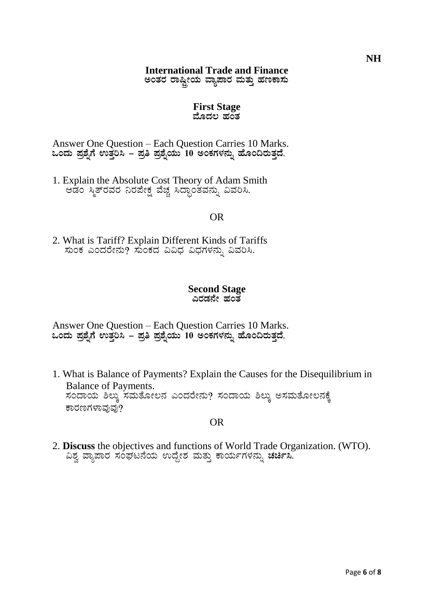# **International Trade and Finance**

ಅಂತರ ರಾಷ್ಟೀಯ ವ್ಯಾಪಾರ ಮತ್ತು ಹಣಕಾಸು

#### **First Stage** ಮೊದಲ ಹ**ಂ**ತ

Answer One Question – Each Question Carries 10 Marks. **MAzÀÄ ¥Àæ±ÉßUÉ GvÀÛj¹ - ¥Àæw ¥Àæ±ÉßAiÀÄÄ 10 CAPÀUÀ¼À£ÀÄß ºÉÆA¢gÀÄvÀÛzÉ.**

1. Explain the Absolute Cost Theory of Adam Smith ಆಡಂ ಸ್ಮಿತ್**ರವರ ನಿರಪೇಕ್ಷ ವಚ್ಚ ಸಿದ್ಧಾಂತವನ್ನು ವಿವರಿ**ಸಿ.

# OR

2. What is Tariff? Explain Different Kinds of Tariffs ಸುಂಕ ಎಂದರೇನು? ಸುಂಕದ ವಿವಿಧ ವಿಧಗಳನ್ನು ವಿವರಿಸಿ.

#### **Second Stage** ಎರಡನೇ ಹಂತ

Answer One Question – Each Question Carries 10 Marks. **MAzÀÄ ¥Àæ±ÉßUÉ GvÀÛj¹ - ¥Àæw ¥Àæ±ÉßAiÀÄÄ 10 CAPÀUÀ¼À£ÀÄß ºÉÆA¢gÀÄvÀÛzÉ.**

1. What is Balance of Payments? Explain the Causes for the Disequilibrium in Balance of Payments. ಸಂದಾಯ ಶಿಲ್ಕು ಸಮತೋಲನ ಎಂದರೇನು? ಸಂದಾಯ ಶಿಲ್ಕು ಅಸಮತೋಲನಕ್ಕೆ ಕಾರಣಗಳಾವುವು?

# OR

2. **Discuss** the objectives and functions of World Trade Organization. (WTO). <del>, 2002, 2002, 2002, 2002, 2002, 2012, 2012, 2012, 2012, 2012, 2012</del><br>"ಎಶ್ವ ವ್ಯಾಪಾರ ಸಂಘಟನೆಯ ಉದ್ದೇಶ ಮತ್ತು ಕಾರ್ಯಗಳನ್ನು **ಚರ್ಚಿ**ಸಿ.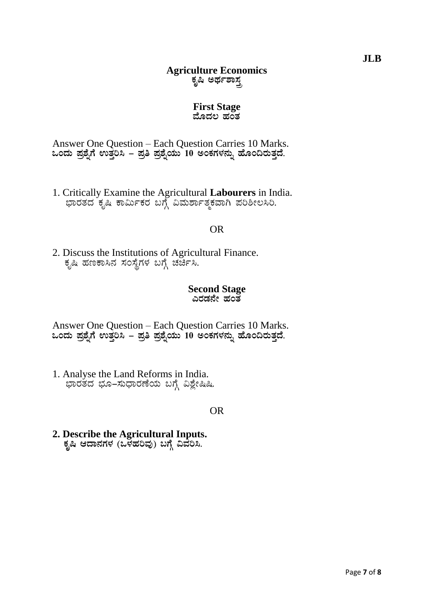# **Agriculture Economics** ಕೃಷಿ ಅರ್ಥಶ<u>ಾಸ್ತ</u>

#### **First Stage** ಮೊದಲ ಹಂತ

Answer One Question – Each Question Carries 10 Marks. **MAzÀÄ ¥Àæ±ÉßUÉ GvÀÛj¹ - ¥Àæw ¥Àæ±ÉßAiÀÄÄ 10 CAPÀUÀ¼À£ÀÄß ºÉÆA¢gÀÄvÀÛzÉ.**

1. Critically Examine the Agricultural **Labourers** in India. ಾವರತದ ಕೃಷಿ ಕಾರ್ಮಿಕರ ಬಗ್ಗೆ ವಿಮರ್ಶಾತ್ಮಕವಾಗಿ ಪರಿಶೀಲಸಿರಿ.

### OR

2. Discuss the Institutions of Agricultural Finance. ಕೃಷಿ ಹಣಕಾಸಿನ ಸಂಸ್ಥೆಗಳ ಬಗ್ಗೆ ಚರ್ಚೆಸಿ.

#### **Second Stage** ಎರಡನೇ ಹಂತ

Answer One Question – Each Question Carries 10 Marks. **MAzÀÄ ¥Àæ±ÉßUÉ GvÀÛj¹ - ¥Àæw ¥Àæ±ÉßAiÀÄÄ 10 CAPÀUÀ¼À£ÀÄß ºÉÆA¢gÀÄvÀÛzÉ.**

1. Analyse the Land Reforms in India. ಭಾರತದ ಭೂ–ಸುಧಾರಣೆಯ ಬಗ್ಗೆ ವಿಶ್ಲೇಷಿಷಿ.

### OR

**2. Describe the Agricultural Inputs.** ಕೃಷಿ ಆದಾನಗಳ (ಒಳಹರಿವು) ಬಗ್ಗೆ ವಿವೆರಿಸಿ.